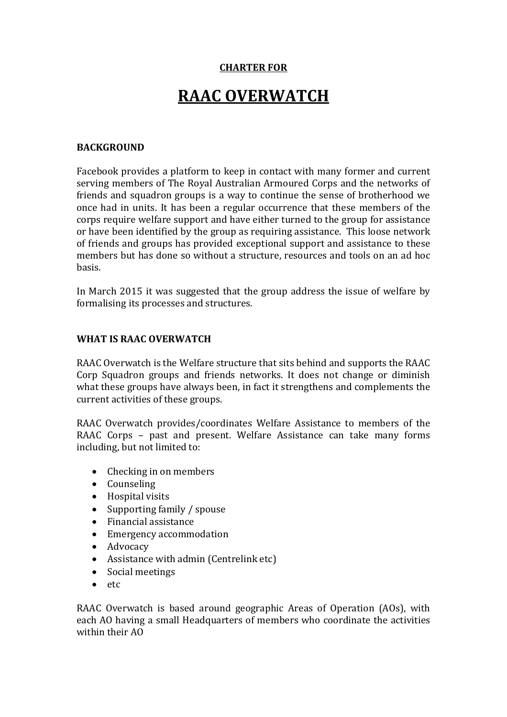#### **CHARTER FOR**

# **RAAC OVERWATCH**

#### **BACKGROUND**

Facebook provides a platform to keep in contact with many former and current serving members of The Royal Australian Armoured Corps and the networks of friends and squadron groups is a way to continue the sense of brotherhood we once had in units. It has been a regular occurrence that these members of the corps require welfare support and have either turned to the group for assistance or have been identified by the group as requiring assistance. This loose network of friends and groups has provided exceptional support and assistance to these members but has done so without a structure, resources and tools on an ad hoc basis.

In March 2015 it was suggested that the group address the issue of welfare by formalising its processes and structures.

#### **WHAT IS RAAC OVERWATCH**

RAAC Overwatch is the Welfare structure that sits behind and supports the RAAC Corp Squadron groups and friends networks. It does not change or diminish what these groups have always been, in fact it strengthens and complements the current activities of these groups.

RAAC Overwatch provides/coordinates Welfare Assistance to members of the RAAC Corps – past and present. Welfare Assistance can take many forms including, but not limited to:

- Checking in on members
- Counseling
- Hospital visits<br>• Supporting fan
- Supporting family / spouse
- Financial assistance
- Emergency accommodation
- Advocacy
- Assistance with admin (Centrelink etc)
- Social meetings
- etc

RAAC Overwatch is based around geographic Areas of Operation (AOs), with each AO having a small Headquarters of members who coordinate the activities within their AO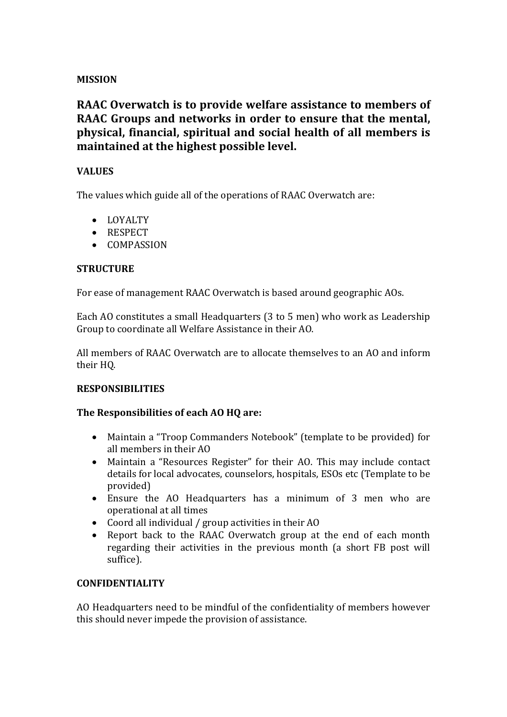#### **MISSION**

### **RAAC Overwatch is to provide welfare assistance to members of RAAC Groups and networks in order to ensure that the mental, physical, financial, spiritual and social health of all members is maintained at the highest possible level.**

#### **VALUES**

The values which guide all of the operations of RAAC Overwatch are:

- LOYALTY
- RESPECT
- COMPASSION

#### **STRUCTURE**

For ease of management RAAC Overwatch is based around geographic AOs.

Each AO constitutes a small Headquarters (3 to 5 men) who work as Leadership Group to coordinate all Welfare Assistance in their AO.

All members of RAAC Overwatch are to allocate themselves to an AO and inform their HQ.

#### **RESPONSIBILITIES**

#### **The Responsibilities of each AO HQ are:**

- Maintain a "Troop Commanders Notebook" (template to be provided) for all members in their AO
- Maintain a "Resources Register" for their AO. This may include contact details for local advocates, counselors, hospitals, ESOs etc (Template to be provided)
- Ensure the AO Headquarters has a minimum of 3 men who are operational at all times
- Coord all individual / group activities in their AO<br>• Report back to the RAAC Overwatch group at
- Report back to the RAAC Overwatch group at the end of each month regarding their activities in the previous month (a short FB post will suffice).

#### **CONFIDENTIALITY**

AO Headquarters need to be mindful of the confidentiality of members however this should never impede the provision of assistance.